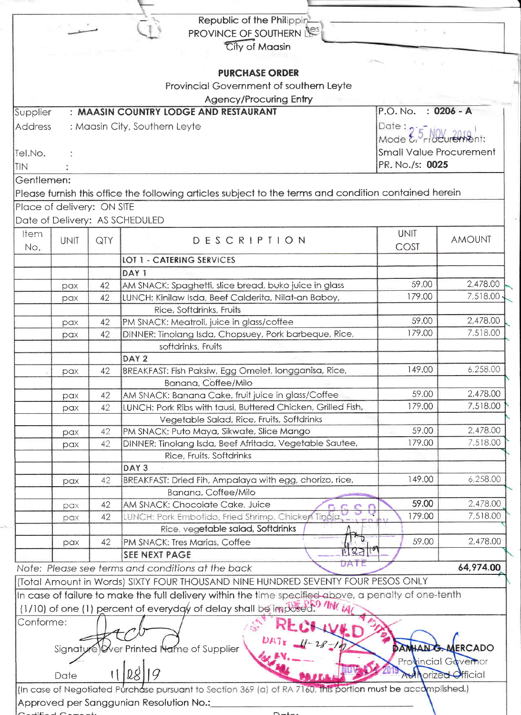|                                |     | Republic of the Philippin                                                                                   |                     |                          |
|--------------------------------|-----|-------------------------------------------------------------------------------------------------------------|---------------------|--------------------------|
|                                |     | PROVINCE OF SOUTHERN                                                                                        |                     |                          |
|                                |     |                                                                                                             |                     |                          |
|                                |     | City of Maasin                                                                                              |                     |                          |
|                                |     |                                                                                                             |                     |                          |
|                                |     | <b>PURCHASE ORDER</b>                                                                                       |                     |                          |
|                                |     | Provincial Government of southern Leyte                                                                     |                     |                          |
|                                |     | <b>Agency/Procuring Entry</b>                                                                               |                     |                          |
| Supplier                       |     | : MAASIN COUNTRY LODGE AND RESTAURANT                                                                       | P.O. No.            | $: 0206 - A$             |
| <b>Address</b>                 |     | : Maasin City, Southern Leyte                                                                               | Date: $\bullet$     |                          |
|                                |     |                                                                                                             | Mode & riocurement: |                          |
| Tel.No.                        |     | <b>Small Value Procurement</b>                                                                              |                     |                          |
|                                |     | PR. No./s: 0025                                                                                             |                     |                          |
| Itin                           |     |                                                                                                             |                     |                          |
| Gentlemen:                     |     |                                                                                                             |                     |                          |
|                                |     | Please furnish this office the following articles subject to the terms and condition contained herein       |                     |                          |
| Place of delivery: ON SITE     |     |                                                                                                             |                     |                          |
| Date of Delivery: AS SCHEDULED |     |                                                                                                             |                     |                          |
| <b>Item</b>                    |     |                                                                                                             | <b>UNIT</b>         |                          |
| <b>UNIT</b><br>No.             | QTY | DESCRIPTION                                                                                                 | COST                | <b>AMOUNT</b>            |
|                                |     | <b>LOT 1 - CATERING SERVICES</b>                                                                            |                     |                          |
|                                |     | DAY <sub>1</sub>                                                                                            |                     |                          |
| pax                            | 42  | AM SNACK: Spaghetti, slice bread, buko juice in glass                                                       | 59.00               | 2,478.00                 |
| pax                            | 42  | LUNCH: Kinilaw Isda, Beef Calderita, Nilat-an Baboy,                                                        | 179.00              | 7,518.00                 |
|                                |     | Rice, Softdrinks, Fruits                                                                                    |                     |                          |
|                                | 42  | PM SNACK: Meatroll, juice in glass/coffee                                                                   | 59.00               | 2,478.00                 |
| pax                            | 42  | DINNER: Tinolang Isda, Chopsuey, Pork barbeque, Rice,                                                       | 179.00              | 7,518.00                 |
| pax                            |     | softdrinks, Fruits                                                                                          |                     |                          |
|                                |     | DAY <sub>2</sub>                                                                                            |                     |                          |
|                                | 42  | BREAKFAST: Fish Paksiw, Egg Omelet, longganisa, Rice,                                                       | 149.00              | 6,258.00                 |
| pax                            |     | Banana, Coffee/Milo                                                                                         |                     |                          |
|                                |     | AM SNACK: Banana Cake, fruit juice in glass/Coffee                                                          | 59.00               | 2,478.00                 |
| pax                            | 42  | LUNCH: Pork Ribs with tausi, Buttered Chicken, Grilled Fish,                                                | 179.00              | 7,518.00                 |
| pax                            | 42  |                                                                                                             |                     |                          |
|                                |     | Vegetable Salad, Rice, Fruits, Softdrinks                                                                   | 59.00               | 2,478.00                 |
| pax                            | 42  | PM SNACK: Puto Maya, Sikwate, Slice Mango                                                                   | 179.00              | 7,518.00                 |
| pax                            | 42  | DINNER: Tinolang Isda, Beef Afritada, Vegetable Sautee,                                                     |                     |                          |
|                                |     | Rice, Fruits, Softdrinks                                                                                    |                     |                          |
|                                |     | DAY <sub>3</sub>                                                                                            | 149.00              | 6,258.00                 |
| pax                            | 42  | BREAKFAST: Dried Fih, Ampalaya with egg, chorizo, rice,                                                     |                     |                          |
|                                |     | Banana, Coffee/Milo                                                                                         |                     | 2,478.00                 |
| pax                            | 42  | AM SNACK: Chocolate Cake, Juice                                                                             | 59.00               | 7,518.00                 |
| pax                            | 42  | LUNCH: Pork Embotido, Fried Shrimp, Chicken Tinola                                                          | 179.00              |                          |
|                                |     | Rice, vegetable salad, Softdrinks                                                                           |                     |                          |
| pax                            | 42  | PM SNACK: Tres Marias, Coffee<br>∣⊽রাশ<br>M                                                                 | 59.00               | 2,478.00                 |
|                                |     | SEE NEXT PAGE<br>DATE                                                                                       |                     |                          |
|                                |     | Note: Please see terms and conditions at the back                                                           |                     | 64,974.00                |
|                                |     | (Total Amount in Words) SIXTY FOUR THOUSAND NINE HUNDRED SEVENTY FOUR PESOS ONLY                            |                     |                          |
|                                |     | In case of failure to make the full delivery within the time specified above, a penalty of one-tenth        |                     |                          |
|                                |     | (1/10) of one (1) percent of everyday of delay shall be imposed. IN (in                                     |                     |                          |
| Conforme:                      |     |                                                                                                             |                     |                          |
|                                |     |                                                                                                             |                     |                          |
|                                |     | Never Printed Name of Supplier                                                                              |                     | <b>DAMHANG.MERCADO</b>   |
| Signaty                        |     |                                                                                                             |                     |                          |
|                                |     |                                                                                                             |                     | Provincial Governor      |
| Date                           |     |                                                                                                             |                     | <b>Whorized Official</b> |
|                                |     | (In case of Negotiated Purchase pursuant to Section 369 (a) of RA 7160, this portion must be accomplished.) |                     |                          |
|                                |     | Approved per Sanggunian Resolution No.:                                                                     |                     |                          |
|                                |     |                                                                                                             |                     |                          |